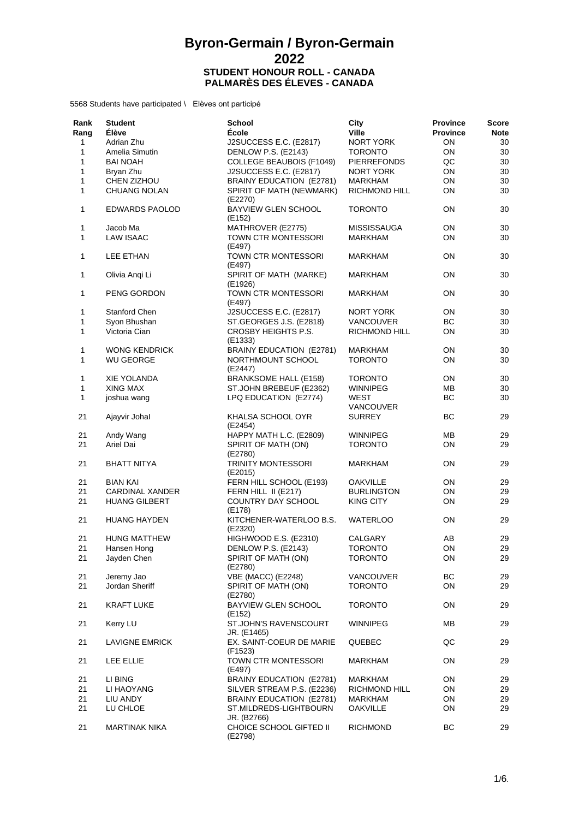| Rank<br>Rang | <b>Student</b><br><b>Élève</b> | <b>School</b><br>École                      | City<br><b>Ville</b>     | <b>Province</b><br><b>Province</b> | Score<br><b>Note</b> |
|--------------|--------------------------------|---------------------------------------------|--------------------------|------------------------------------|----------------------|
| 1            | Adrian Zhu                     | J2SUCCESS E.C. (E2817)                      | NORT YORK                | ON                                 | 30                   |
| 1            | Amelia Simutin                 | DENLOW P.S. (E2143)                         | <b>TORONTO</b>           | ON                                 | 30                   |
| 1            | <b>BAI NOAH</b>                | <b>COLLEGE BEAUBOIS (F1049)</b>             | <b>PIERREFONDS</b>       | QC                                 | 30                   |
| 1            | Bryan Zhu                      | J2SUCCESS E.C. (E2817)                      | NORT YORK                | ON                                 | 30                   |
| 1            | CHEN ZIZHOU                    | BRAINY EDUCATION (E2781)                    |                          | ON                                 | 30                   |
|              |                                |                                             | MARKHAM                  |                                    |                      |
| 1            | CHUANG NOLAN                   | SPIRIT OF MATH (NEWMARK)<br>(E2270)         | <b>RICHMOND HILL</b>     | ON                                 | 30                   |
| 1            | <b>EDWARDS PAOLOD</b>          | <b>BAYVIEW GLEN SCHOOL</b><br>(E152)        | <b>TORONTO</b>           | <b>ON</b>                          | 30                   |
| 1            | Jacob Ma                       | MATHROVER (E2775)                           | <b>MISSISSAUGA</b>       | ON                                 | 30                   |
| 1            | <b>LAW ISAAC</b>               | TOWN CTR MONTESSORI<br>(E497)               | <b>MARKHAM</b>           | ON                                 | 30                   |
| 1            | LEE ETHAN                      | TOWN CTR MONTESSORI<br>(E497)               | <b>MARKHAM</b>           | ON                                 | 30                   |
| 1            | Olivia Angi Li                 | SPIRIT OF MATH (MARKE)<br>(E1926)           | <b>MARKHAM</b>           | ON                                 | 30                   |
| 1            | PENG GORDON                    | TOWN CTR MONTESSORI<br>(E497)               | <b>MARKHAM</b>           | ON                                 | 30                   |
| 1            | Stanford Chen                  | J2SUCCESS E.C. (E2817)                      | NORT YORK                | ON                                 | 30                   |
| 1            | Syon Bhushan                   | ST.GEORGES J.S. (E2818)                     | <b>VANCOUVER</b>         | BС                                 | 30                   |
|              |                                |                                             |                          |                                    |                      |
| 1            | Victoria Cian                  | CROSBY HEIGHTS P.S.<br>(E1333)              | <b>RICHMOND HILL</b>     | ON                                 | 30                   |
| 1            | <b>WONG KENDRICK</b>           | BRAINY EDUCATION (E2781)                    | <b>MARKHAM</b>           | ON                                 | 30                   |
| 1            | <b>WU GEORGE</b>               | NORTHMOUNT SCHOOL<br>(E2447)                | <b>TORONTO</b>           | ON                                 | 30                   |
| 1            | <b>XIE YOLANDA</b>             | <b>BRANKSOME HALL (E158)</b>                | <b>TORONTO</b>           | ON                                 | 30                   |
| 1            | XING MAX                       | ST.JOHN BREBEUF (E2362)                     | <b>WINNIPEG</b>          | ΜВ                                 | 30                   |
| 1            | joshua wang                    | LPQ EDUCATION (E2774)                       | WEST<br><b>VANCOUVER</b> | BC                                 | 30                   |
| 21           | Ajayvir Johal                  | KHALSA SCHOOL OYR<br>(E2454)                | <b>SURREY</b>            | <b>BC</b>                          | 29                   |
| 21           | Andy Wang                      | HAPPY MATH L.C. (E2809)                     | <b>WINNIPEG</b>          | ΜВ                                 | 29                   |
| 21           | Ariel Dai                      | SPIRIT OF MATH (ON)<br>(E2780)              | <b>TORONTO</b>           | ON                                 | 29                   |
| 21           | <b>BHATT NITYA</b>             | <b>TRINITY MONTESSORI</b><br>(E2015)        | MARKHAM                  | ON                                 | 29                   |
| 21           | <b>BIAN KAI</b>                | FERN HILL SCHOOL (E193)                     | <b>OAKVILLE</b>          | ON                                 | 29                   |
| 21           | <b>CARDINAL XANDER</b>         | FERN HILL II (E217)                         | <b>BURLINGTON</b>        | ON                                 | 29                   |
| 21           | <b>HUANG GILBERT</b>           | COUNTRY DAY SCHOOL                          | <b>KING CITY</b>         | ON                                 | 29                   |
|              |                                | (E178)                                      |                          |                                    |                      |
| 21           | <b>HUANG HAYDEN</b>            | KITCHENER-WATERLOO B.S.<br>(E2320)          | <b>WATERLOO</b>          | ON                                 | 29                   |
| 21           | <b>HUNG MATTHEW</b>            | HIGHWOOD E.S. (E2310)                       | CALGARY                  | AB                                 | 29                   |
| 21           | Hansen Hong                    | DENLOW P.S. (E2143)                         | <b>TORONTO</b>           | ON                                 | 29                   |
| 21           | Jayden Chen                    | SPIRIT OF MATH (ON)<br>(E2780)              | <b>TORONTO</b>           | ON                                 | 29                   |
| 21           | Jeremy Jao                     | <b>VBE (MACC) (E2248)</b>                   | VANCOUVER                | ВC                                 | 29                   |
| 21           | Jordan Sheriff                 | SPIRIT OF MATH (ON)<br>(E2780)              | <b>TORONTO</b>           | ON                                 | 29                   |
| 21           | <b>KRAFT LUKE</b>              | BAYVIEW GLEN SCHOOL<br>(E152)               | <b>TORONTO</b>           | ON                                 | 29                   |
| 21           | Kerry LU                       | <b>ST.JOHN'S RAVENSCOURT</b><br>JR. (E1465) | <b>WINNIPEG</b>          | MB                                 | 29                   |
| 21           | <b>LAVIGNE EMRICK</b>          | EX. SAINT-COEUR DE MARIE<br>(F1523)         | QUEBEC                   | QC                                 | 29                   |
| 21           | LEE ELLIE                      | TOWN CTR MONTESSORI<br>(E497)               | MARKHAM                  | ON                                 | 29                   |
| 21           | LI BING                        | BRAINY EDUCATION (E2781)                    | MARKHAM                  | ON                                 | 29                   |
|              |                                |                                             |                          |                                    |                      |
| 21           | LI HAOYANG                     | SILVER STREAM P.S. (E2236)                  | RICHMOND HILL            | ON                                 | 29                   |
| 21           | LIU ANDY                       | BRAINY EDUCATION (E2781)                    | <b>MARKHAM</b>           | ON                                 | 29                   |
| 21           | LU CHLOE                       | ST.MILDREDS-LIGHTBOURN<br>JR. (B2766)       | <b>OAKVILLE</b>          | ON                                 | 29                   |
| 21           | <b>MARTINAK NIKA</b>           | CHOICE SCHOOL GIFTED II<br>(E2798)          | <b>RICHMOND</b>          | BC                                 | 29                   |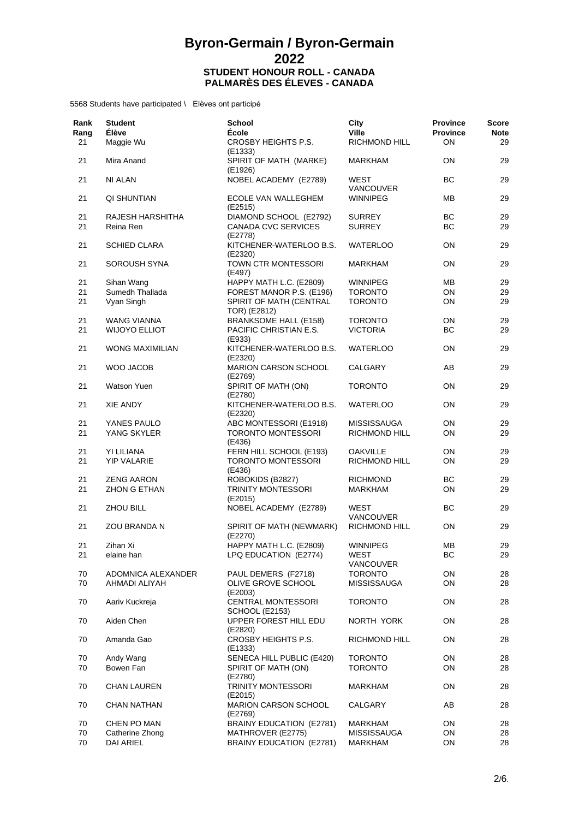| Rank<br>Rang<br>21 | <b>Student</b><br><b>Élève</b><br>Maggie Wu | <b>School</b><br><b>École</b><br>CROSBY HEIGHTS P.S. | City<br><b>Ville</b><br><b>RICHMOND HILL</b> | <b>Province</b><br><b>Province</b><br>OΝ | <b>Score</b><br><b>Note</b><br>29 |
|--------------------|---------------------------------------------|------------------------------------------------------|----------------------------------------------|------------------------------------------|-----------------------------------|
| 21                 | Mira Anand                                  | (E1333)<br>SPIRIT OF MATH (MARKE)                    | MARKHAM                                      | ON                                       | 29                                |
| 21                 | NI ALAN                                     | (E1926)<br>NOBEL ACADEMY (E2789)                     | WEST                                         | ВC                                       | 29                                |
| 21                 | QI SHUNTIAN                                 | ECOLE VAN WALLEGHEM                                  | <b>VANCOUVER</b><br><b>WINNIPEG</b>          | MВ                                       | 29                                |
|                    |                                             | (E2515)                                              |                                              | ВC                                       |                                   |
| 21<br>21           | RAJESH HARSHITHA<br>Reina Ren               | DIAMOND SCHOOL (E2792)<br>CANADA CVC SERVICES        | <b>SURREY</b><br><b>SURREY</b>               | ВC                                       | 29<br>29                          |
| 21                 | <b>SCHIED CLARA</b>                         | (E2778)<br>KITCHENER-WATERLOO B.S.<br>(E2320)        | <b>WATERLOO</b>                              | ON                                       | 29                                |
| 21                 | SOROUSH SYNA                                | TOWN CTR MONTESSORI<br>(E497)                        | <b>MARKHAM</b>                               | OΝ                                       | 29                                |
| 21                 | Sihan Wang                                  | HAPPY MATH L.C. (E2809)                              | <b>WINNIPEG</b>                              | ΜВ                                       | 29                                |
| 21                 | Sumedh Thallada                             | FOREST MANOR P.S. (E196)                             | <b>TORONTO</b>                               | ON                                       | 29                                |
| 21                 | Vyan Singh                                  | SPIRIT OF MATH (CENTRAL                              | <b>TORONTO</b>                               | ON                                       | 29                                |
|                    |                                             | TOR) (E2812)                                         |                                              |                                          |                                   |
| 21                 | <b>WANG VIANNA</b>                          | <b>BRANKSOME HALL (E158)</b>                         | <b>TORONTO</b>                               | ON                                       | 29                                |
| 21                 | <b>WIJOYO ELLIOT</b>                        | PACIFIC CHRISTIAN E.S.<br>(E933)                     | <b>VICTORIA</b>                              | BC                                       | 29                                |
| 21                 | <b>WONG MAXIMILIAN</b>                      | KITCHENER-WATERLOO B.S.<br>(E2320)                   | <b>WATERLOO</b>                              | OΝ                                       | 29                                |
| 21                 | WOO JACOB                                   | <b>MARION CARSON SCHOOL</b><br>(E2769)               | <b>CALGARY</b>                               | AВ                                       | 29                                |
| 21                 | <b>Watson Yuen</b>                          | SPIRIT OF MATH (ON)<br>(E2780)                       | <b>TORONTO</b>                               | OΝ                                       | 29                                |
| 21                 | XIE ANDY                                    | KITCHENER-WATERLOO B.S.<br>(E2320)                   | <b>WATERLOO</b>                              | ON                                       | 29                                |
| 21                 | YANES PAULO                                 | ABC MONTESSORI (E1918)                               | <b>MISSISSAUGA</b>                           | ON                                       | 29                                |
| 21                 | YANG SKYLER                                 | TORONTO MONTESSORI<br>(E436)                         | <b>RICHMOND HILL</b>                         | OΝ                                       | 29                                |
| 21                 | YI LILIANA                                  | FERN HILL SCHOOL (E193)                              | <b>OAKVILLE</b>                              | ON                                       | 29                                |
| 21                 | <b>YIP VALARIE</b>                          | <b>TORONTO MONTESSORI</b>                            | RICHMOND HILL                                | ON                                       | 29                                |
|                    |                                             | (E436)                                               |                                              |                                          |                                   |
| 21                 | <b>ZENG AARON</b>                           | ROBOKIDS (B2827)                                     | <b>RICHMOND</b>                              | BС                                       | 29                                |
| 21                 | <b>ZHON G ETHAN</b>                         | <b>TRINITY MONTESSORI</b><br>(E2015)                 | <b>MARKHAM</b>                               | ON                                       | 29                                |
| 21                 | ZHOU BILL                                   | NOBEL ACADEMY (E2789)                                | WEST<br><b>VANCOUVER</b>                     | BС                                       | 29                                |
| 21                 | ZOU BRANDA N                                | SPIRIT OF MATH (NEWMARK)<br>(E2270)                  | RICHMOND HILL                                | ON                                       | 29                                |
| 21                 | Zihan Xi                                    | HAPPY MATH L.C. (E2809)                              | <b>WINNIPEG</b>                              | MВ                                       | 29                                |
| 21                 | elaine han                                  | LPQ EDUCATION (E2774)                                | WEST                                         | BС                                       | 29                                |
|                    |                                             |                                                      | <b>VANCOUVER</b>                             |                                          |                                   |
| 70                 | ADOMNICA ALEXANDER                          | PAUL DEMERS (F2718)                                  | <b>TORONTO</b>                               | ON                                       | 28                                |
| 70                 | AHMADI ALIYAH                               | OLIVE GROVE SCHOOL<br>(E2003)                        | <b>MISSISSAUGA</b>                           | ON                                       | 28                                |
| 70                 | Aariv Kuckreja                              | <b>CENTRAL MONTESSORI</b><br><b>SCHOOL (E2153)</b>   | <b>TORONTO</b>                               | ON                                       | 28                                |
| 70                 | Aiden Chen                                  | UPPER FOREST HILL EDU<br>(E2820)                     | NORTH YORK                                   | ON                                       | 28                                |
| 70                 | Amanda Gao                                  | CROSBY HEIGHTS P.S.<br>(E1333)                       | RICHMOND HILL                                | ON                                       | 28                                |
| 70                 | Andy Wang                                   | SENECA HILL PUBLIC (E420)                            | <b>TORONTO</b>                               | ON                                       | 28                                |
| 70                 | Bowen Fan                                   | SPIRIT OF MATH (ON)<br>(E2780)                       | <b>TORONTO</b>                               | ON                                       | 28                                |
| 70                 | <b>CHAN LAUREN</b>                          | <b>TRINITY MONTESSORI</b><br>(E2015)                 | MARKHAM                                      | ON                                       | 28                                |
| 70                 | <b>CHAN NATHAN</b>                          | MARION CARSON SCHOOL<br>(E2769)                      | CALGARY                                      | AB                                       | 28                                |
| 70                 | CHEN PO MAN                                 | BRAINY EDUCATION (E2781)                             | <b>MARKHAM</b>                               | ON                                       | 28                                |
| 70                 | Catherine Zhong                             | MATHROVER (E2775)                                    | <b>MISSISSAUGA</b>                           | ON                                       | 28                                |
| 70                 | <b>DAI ARIEL</b>                            | <b>BRAINY EDUCATION (E2781)</b>                      | <b>MARKHAM</b>                               | ON                                       | 28                                |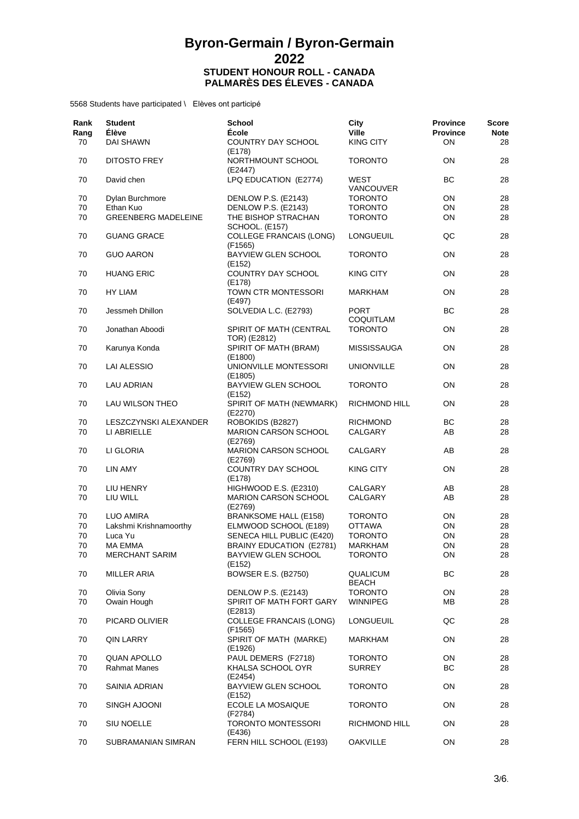| Rank<br>Rang<br>70 | <b>Student</b><br><b>Élève</b><br><b>DAI SHAWN</b> | <b>School</b><br>École<br>COUNTRY DAY SCHOOL | City<br><b>Ville</b><br><b>KING CITY</b> | <b>Province</b><br><b>Province</b><br>ON | <b>Score</b><br><b>Note</b><br>28 |
|--------------------|----------------------------------------------------|----------------------------------------------|------------------------------------------|------------------------------------------|-----------------------------------|
| 70                 | <b>DITOSTO FREY</b>                                | (E178)<br>NORTHMOUNT SCHOOL                  | <b>TORONTO</b>                           | ON                                       | 28                                |
| 70                 | David chen                                         | (E2447)<br>LPQ EDUCATION (E2774)             | WEST                                     | <b>BC</b>                                | 28                                |
|                    |                                                    |                                              | <b>VANCOUVER</b>                         |                                          |                                   |
| 70                 | Dylan Burchmore                                    | DENLOW P.S. (E2143)                          | <b>TORONTO</b>                           | ON                                       | 28                                |
| 70                 | Ethan Kuo                                          | DENLOW P.S. (E2143)                          | <b>TORONTO</b>                           | ON                                       | 28                                |
| 70                 | <b>GREENBERG MADELEINE</b>                         | THE BISHOP STRACHAN<br>SCHOOL. (E157)        | <b>TORONTO</b>                           | ON                                       | 28                                |
| 70                 | <b>GUANG GRACE</b>                                 | <b>COLLEGE FRANCAIS (LONG)</b><br>(F1565)    | LONGUEUIL                                | QC                                       | 28                                |
| 70                 | <b>GUO AARON</b>                                   | <b>BAYVIEW GLEN SCHOOL</b><br>(E152)         | <b>TORONTO</b>                           | ON                                       | 28                                |
| 70                 | <b>HUANG ERIC</b>                                  | COUNTRY DAY SCHOOL<br>(E178)                 | <b>KING CITY</b>                         | ON                                       | 28                                |
| 70                 | <b>HY LIAM</b>                                     | TOWN CTR MONTESSORI<br>(E497)                | <b>MARKHAM</b>                           | ON                                       | 28                                |
| 70                 | Jessmeh Dhillon                                    | SOLVEDIA L.C. (E2793)                        | <b>PORT</b><br>COQUITLAM                 | <b>BC</b>                                | 28                                |
| 70                 | Jonathan Aboodi                                    | SPIRIT OF MATH (CENTRAL<br>TOR) (E2812)      | <b>TORONTO</b>                           | ON                                       | 28                                |
| 70                 | Karunya Konda                                      | SPIRIT OF MATH (BRAM)<br>(E1800)             | <b>MISSISSAUGA</b>                       | ON                                       | 28                                |
| 70                 | LAI ALESSIO                                        | UNIONVILLE MONTESSORI<br>(E1805)             | <b>UNIONVILLE</b>                        | ON                                       | 28                                |
| 70                 | <b>LAU ADRIAN</b>                                  | BAYVIEW GLEN SCHOOL<br>(E152)                | <b>TORONTO</b>                           | ON                                       | 28                                |
| 70                 | LAU WILSON THEO                                    | SPIRIT OF MATH (NEWMARK)<br>(E2270)          | <b>RICHMOND HILL</b>                     | ON                                       | 28                                |
| 70                 | LESZCZYNSKI ALEXANDER                              | ROBOKIDS (B2827)                             | <b>RICHMOND</b>                          | ВC                                       | 28                                |
| 70                 | LI ABRIELLE                                        | <b>MARION CARSON SCHOOL</b><br>(E2769)       | CALGARY                                  | AB                                       | 28                                |
| 70                 | LI GLORIA                                          | MARION CARSON SCHOOL<br>(E2769)              | CALGARY                                  | AB                                       | 28                                |
| 70                 | LIN AMY                                            | COUNTRY DAY SCHOOL<br>(E178)                 | <b>KING CITY</b>                         | ON                                       | 28                                |
| 70                 | LIU HENRY                                          | HIGHWOOD E.S. (E2310)                        | CALGARY                                  | AB                                       | 28                                |
| 70                 | LIU WILL                                           | <b>MARION CARSON SCHOOL</b><br>(E2769)       | CALGARY                                  | AB                                       | 28                                |
| 70                 | <b>LUO AMIRA</b>                                   | <b>BRANKSOME HALL (E158)</b>                 | <b>TORONTO</b>                           | ON                                       | 28                                |
| 70                 | Lakshmi Krishnamoorthy                             | ELMWOOD SCHOOL (E189)                        | <b>OTTAWA</b>                            | ON                                       | 28                                |
| 70                 | Luca Yu                                            | SENECA HILL PUBLIC (E420)                    | <b>TORONTO</b>                           | ON                                       | 28                                |
| 70                 | <b>MA EMMA</b>                                     | <b>BRAINY EDUCATION (E2781)</b>              | MARKHAM                                  | ON                                       | 28                                |
| 70                 | <b>MERCHANT SARIM</b>                              | <b>BAYVIEW GLEN SCHOOL</b><br>(E152)         | TORONTO                                  | ON                                       | 28                                |
| 70                 | <b>MILLER ARIA</b>                                 | <b>BOWSER E.S. (B2750)</b>                   | QUALICUM<br><b>BEACH</b>                 | <b>BC</b>                                | 28                                |
| 70                 | Olivia Sony                                        | DENLOW P.S. (E2143)                          | <b>TORONTO</b>                           | ON                                       | 28                                |
| 70                 | Owain Hough                                        | SPIRIT OF MATH FORT GARY<br>(E2813)          | <b>WINNIPEG</b>                          | ΜВ                                       | 28                                |
| 70                 | PICARD OLIVIER                                     | <b>COLLEGE FRANCAIS (LONG)</b><br>(F1565)    | LONGUEUIL                                | QC                                       | 28                                |
| 70                 | <b>QIN LARRY</b>                                   | SPIRIT OF MATH (MARKE)<br>(E1926)            | MARKHAM                                  | ON                                       | 28                                |
| 70                 | <b>QUAN APOLLO</b>                                 | PAUL DEMERS (F2718)                          | <b>TORONTO</b>                           | ON                                       | 28                                |
| 70                 | <b>Rahmat Manes</b>                                | KHALSA SCHOOL OYR<br>(E2454)                 | <b>SURREY</b>                            | <b>BC</b>                                | 28                                |
| 70                 | SAINIA ADRIAN                                      | BAYVIEW GLEN SCHOOL<br>(E152)                | <b>TORONTO</b>                           | ON                                       | 28                                |
| 70                 | SINGH AJOONI                                       | ECOLE LA MOSAIQUE<br>(F2784)                 | <b>TORONTO</b>                           | ON                                       | 28                                |
| 70                 | SIU NOELLE                                         | TORONTO MONTESSORI<br>(E436)                 | RICHMOND HILL                            | ON                                       | 28                                |
| 70                 | SUBRAMANIAN SIMRAN                                 | FERN HILL SCHOOL (E193)                      | <b>OAKVILLE</b>                          | ON                                       | 28                                |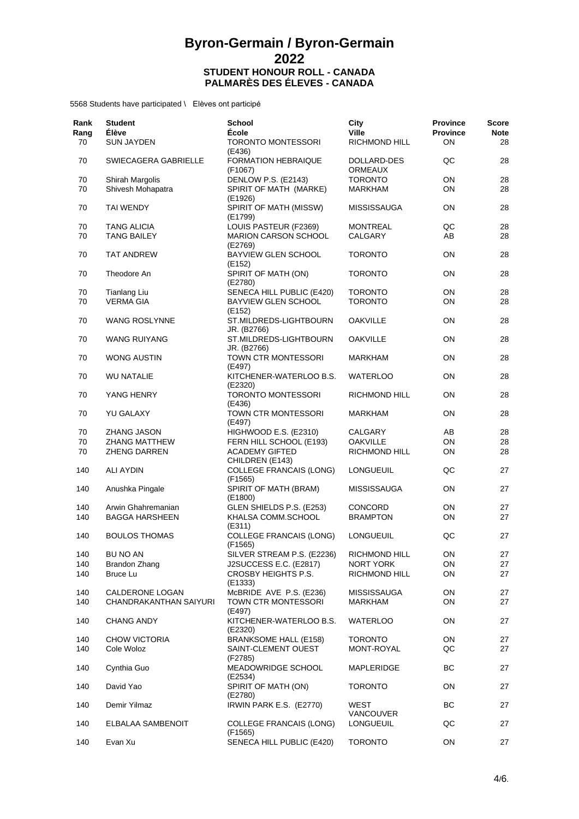| Rank<br>Rang<br>70 | <b>Student</b><br><b>Élève</b><br><b>SUN JAYDEN</b> | <b>School</b><br><b>École</b><br>TORONTO MONTESSORI          | City<br><b>Ville</b><br>RICHMOND HILL | <b>Province</b><br><b>Province</b><br>ON | <b>Score</b><br><b>Note</b><br>28 |
|--------------------|-----------------------------------------------------|--------------------------------------------------------------|---------------------------------------|------------------------------------------|-----------------------------------|
|                    |                                                     | (E436)                                                       |                                       |                                          |                                   |
| 70                 | SWIECAGERA GABRIELLE                                | <b>FORMATION HEBRAIQUE</b><br>(F1067)                        | DOLLARD-DES<br><b>ORMEAUX</b>         | QC                                       | 28                                |
| 70                 | Shirah Margolis                                     | DENLOW P.S. (E2143)                                          | <b>TORONTO</b>                        | ON                                       | 28                                |
| 70                 | Shivesh Mohapatra                                   | SPIRIT OF MATH (MARKE)                                       | <b>MARKHAM</b>                        | ON                                       | 28                                |
| 70                 | <b>TAI WENDY</b>                                    | (E1926)<br>SPIRIT OF MATH (MISSW)<br>(E1799)                 | <b>MISSISSAUGA</b>                    | <b>ON</b>                                | 28                                |
| 70                 | <b>TANG ALICIA</b>                                  | LOUIS PASTEUR (F2369)                                        | <b>MONTREAL</b>                       | QC                                       | 28                                |
| 70                 | <b>TANG BAILEY</b>                                  | <b>MARION CARSON SCHOOL</b>                                  | CALGARY                               | AB                                       | 28                                |
| 70                 | <b>TAT ANDREW</b>                                   | (E2769)<br>BAYVIEW GLEN SCHOOL<br>(E152)                     | <b>TORONTO</b>                        | ON                                       | 28                                |
| 70                 | Theodore An                                         | SPIRIT OF MATH (ON)<br>(E2780)                               | <b>TORONTO</b>                        | ON                                       | 28                                |
| 70                 | <b>Tianlang Liu</b>                                 | SENECA HILL PUBLIC (E420)                                    | <b>TORONTO</b>                        | ON                                       | 28                                |
| 70                 | <b>VERMA GIA</b>                                    | BAYVIEW GLEN SCHOOL                                          | <b>TORONTO</b>                        | ON                                       | 28                                |
| 70                 | <b>WANG ROSLYNNE</b>                                | (E152)<br>ST.MILDREDS-LIGHTBOURN                             | <b>OAKVILLE</b>                       | ON                                       | 28                                |
| 70                 | <b>WANG RUIYANG</b>                                 | JR. (B2766)<br>ST.MILDREDS-LIGHTBOURN                        | <b>OAKVILLE</b>                       | ON                                       | 28                                |
|                    |                                                     | JR. (B2766)                                                  |                                       |                                          |                                   |
| 70                 | <b>WONG AUSTIN</b>                                  | TOWN CTR MONTESSORI<br>(E497)                                | <b>MARKHAM</b>                        | ON                                       | 28                                |
| 70                 | <b>WU NATALIE</b>                                   | KITCHENER-WATERLOO B.S.<br>(E2320)                           | <b>WATERLOO</b>                       | ON                                       | 28                                |
| 70                 | YANG HENRY                                          | <b>TORONTO MONTESSORI</b><br>(E436)                          | RICHMOND HILL                         | ON                                       | 28                                |
| 70                 | <b>YU GALAXY</b>                                    | TOWN CTR MONTESSORI<br>(E497)                                | <b>MARKHAM</b>                        | ON                                       | 28                                |
| 70                 | <b>ZHANG JASON</b>                                  | HIGHWOOD E.S. (E2310)                                        | CALGARY                               | AB                                       | 28                                |
| 70                 | <b>ZHANG MATTHEW</b>                                | FERN HILL SCHOOL (E193)                                      | <b>OAKVILLE</b>                       | ON                                       | 28                                |
| 70                 | <b>ZHENG DARREN</b>                                 | <b>ACADEMY GIFTED</b>                                        | RICHMOND HILL                         | ON                                       | 28                                |
| 140                | ALI AYDIN                                           | CHILDREN (E143)<br><b>COLLEGE FRANCAIS (LONG)</b><br>(F1565) | LONGUEUIL                             | QC                                       | 27                                |
| 140                | Anushka Pingale                                     | SPIRIT OF MATH (BRAM)<br>(E1800)                             | <b>MISSISSAUGA</b>                    | ON                                       | 27                                |
| 140                | Arwin Ghahremanian                                  | GLEN SHIELDS P.S. (E253)                                     | CONCORD                               | ON                                       | 27                                |
| 140                | <b>BAGGA HARSHEEN</b>                               | KHALSA COMM.SCHOOL                                           | <b>BRAMPTON</b>                       | ON                                       | 27                                |
| 140                | <b>BOULOS THOMAS</b>                                | (E311)<br><b>COLLEGE FRANCAIS (LONG)</b><br>(F1565)          | <b>LONGUEUIL</b>                      | QC                                       | 27                                |
| 140                | BU NO AN                                            | SILVER STREAM P.S. (E2236)                                   | RICHMOND HILL                         | 0N                                       | 27                                |
| 140                | <b>Brandon Zhang</b>                                | J2SUCCESS E.C. (E2817)                                       | <b>NORT YORK</b>                      | ON                                       | 27                                |
| 140                | <b>Bruce Lu</b>                                     | CROSBY HEIGHTS P.S.<br>(E1333)                               | RICHMOND HILL                         | ON                                       | 27                                |
| 140                | CALDERONE LOGAN                                     | McBRIDE AVE P.S. (E236)                                      | <b>MISSISSAUGA</b>                    | ON                                       | 27                                |
| 140                | CHANDRAKANTHAN SAIYURI                              | TOWN CTR MONTESSORI                                          | <b>MARKHAM</b>                        | ON                                       | 27                                |
| 140                | <b>CHANG ANDY</b>                                   | (E497)<br>KITCHENER-WATERLOO B.S.<br>(E2320)                 | <b>WATERLOO</b>                       | ON                                       | 27                                |
| 140                | CHOW VICTORIA                                       | <b>BRANKSOME HALL (E158)</b>                                 | <b>TORONTO</b>                        | ON                                       | 27                                |
|                    |                                                     |                                                              |                                       |                                          |                                   |
| 140                | Cole Woloz                                          | SAINT-CLEMENT OUEST<br>(F2785)                               | MONT-ROYAL                            | QC                                       | 27                                |
| 140                | Cynthia Guo                                         | MEADOWRIDGE SCHOOL<br>(E2534)                                | MAPLERIDGE                            | BС                                       | 27                                |
| 140                | David Yao                                           | SPIRIT OF MATH (ON)<br>(E2780)                               | <b>TORONTO</b>                        | ON                                       | 27                                |
| 140                | Demir Yilmaz                                        | IRWIN PARK E.S. (E2770)                                      | WEST<br>VANCOUVER                     | ВC                                       | 27                                |
| 140                | ELBALAA SAMBENOIT                                   | <b>COLLEGE FRANCAIS (LONG)</b><br>(F1565)                    | LONGUEUIL                             | QC                                       | 27                                |
| 140                | Evan Xu                                             | SENECA HILL PUBLIC (E420)                                    | <b>TORONTO</b>                        | ON                                       | 27                                |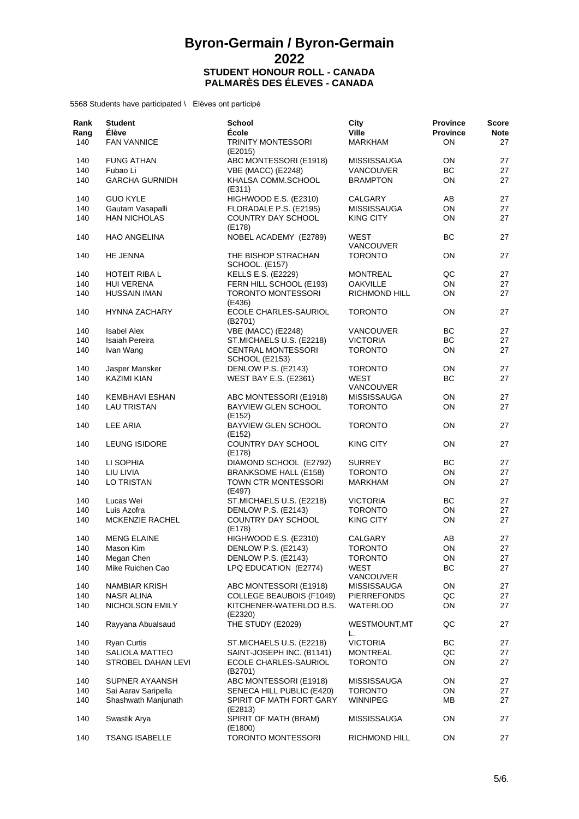| Rank<br>Rang<br>140 | <b>Student</b><br><b>Élève</b><br><b>FAN VANNICE</b> | <b>School</b><br>École<br><b>TRINITY MONTESSORI</b> | City<br><b>Ville</b><br><b>MARKHAM</b> | <b>Province</b><br><b>Province</b><br>ON | <b>Score</b><br><b>Note</b><br>27 |
|---------------------|------------------------------------------------------|-----------------------------------------------------|----------------------------------------|------------------------------------------|-----------------------------------|
|                     |                                                      | (E2015)                                             |                                        |                                          |                                   |
| 140                 | <b>FUNG ATHAN</b>                                    | ABC MONTESSORI (E1918)                              | <b>MISSISSAUGA</b>                     | ON                                       | 27                                |
| 140                 | Fubao Li                                             | <b>VBE (MACC) (E2248)</b>                           | <b>VANCOUVER</b>                       | BC                                       | 27                                |
| 140                 | <b>GARCHA GURNIDH</b>                                | KHALSA COMM.SCHOOL<br>(E311)                        | <b>BRAMPTON</b>                        | ON                                       | 27                                |
| 140                 | <b>GUO KYLE</b>                                      | HIGHWOOD E.S. (E2310)                               | CALGARY                                | AB                                       | 27                                |
| 140                 | Gautam Vasapalli                                     | FLORADALE P.S. (E2195)                              | <b>MISSISSAUGA</b>                     | ON                                       | 27                                |
| 140                 | <b>HAN NICHOLAS</b>                                  | COUNTRY DAY SCHOOL<br>(E178)                        | <b>KING CITY</b>                       | ON                                       | 27                                |
| 140                 | <b>HAO ANGELINA</b>                                  | NOBEL ACADEMY (E2789)                               | WEST<br><b>VANCOUVER</b>               | BC                                       | 27                                |
| 140                 | HE JENNA                                             | THE BISHOP STRACHAN<br><b>SCHOOL. (E157)</b>        | <b>TORONTO</b>                         | <b>ON</b>                                | 27                                |
| 140                 | HOTEIT RIBA L                                        | <b>KELLS E.S. (E2229)</b>                           | MONTREAL                               | QC                                       | 27                                |
| 140                 | <b>HUI VERENA</b>                                    | FERN HILL SCHOOL (E193)                             | <b>OAKVILLE</b>                        | ON                                       | 27                                |
| 140                 | <b>HUSSAIN IMAN</b>                                  | <b>TORONTO MONTESSORI</b><br>(E436)                 | RICHMOND HILL                          | ON                                       | 27                                |
| 140                 | <b>HYNNA ZACHARY</b>                                 | ECOLE CHARLES-SAURIOL<br>(B2701)                    | <b>TORONTO</b>                         | ON                                       | 27                                |
| 140                 | <b>Isabel Alex</b>                                   | <b>VBE (MACC) (E2248)</b>                           | <b>VANCOUVER</b>                       | BC                                       | 27                                |
| 140                 | Isaiah Pereira                                       | ST.MICHAELS U.S. (E2218)                            | <b>VICTORIA</b>                        | BC                                       | 27                                |
| 140                 | Ivan Wang                                            | <b>CENTRAL MONTESSORI</b><br>SCHOOL (E2153)         | <b>TORONTO</b>                         | ON                                       | 27                                |
| 140                 | Jasper Mansker                                       | DENLOW P.S. (E2143)                                 | <b>TORONTO</b>                         | ON                                       | 27                                |
| 140                 | <b>KAZIMI KIAN</b>                                   | <b>WEST BAY E.S. (E2361)</b>                        | WEST<br><b>VANCOUVER</b>               | BC                                       | 27                                |
| 140                 | <b>KEMBHAVI ESHAN</b>                                | ABC MONTESSORI (E1918)                              | <b>MISSISSAUGA</b>                     | ON                                       | 27                                |
| 140                 | <b>LAU TRISTAN</b>                                   | <b>BAYVIEW GLEN SCHOOL</b><br>(E152)                | <b>TORONTO</b>                         | ON                                       | 27                                |
| 140                 | LEE ARIA                                             | <b>BAYVIEW GLEN SCHOOL</b><br>(E152)                | <b>TORONTO</b>                         | ON                                       | 27                                |
| 140                 | <b>LEUNG ISIDORE</b>                                 | COUNTRY DAY SCHOOL<br>(E178)                        | <b>KING CITY</b>                       | ON                                       | 27                                |
| 140                 | LI SOPHIA                                            | DIAMOND SCHOOL (E2792)                              | <b>SURREY</b>                          | BС                                       | 27                                |
| 140                 | LIU LIVIA                                            | <b>BRANKSOME HALL (E158)</b>                        | <b>TORONTO</b>                         | ON                                       | 27                                |
| 140                 | LO TRISTAN                                           | TOWN CTR MONTESSORI<br>(E497)                       | <b>MARKHAM</b>                         | ON                                       | 27                                |
| 140                 | Lucas Wei                                            | ST.MICHAELS U.S. (E2218)                            | <b>VICTORIA</b>                        | ВC                                       | 27                                |
| 140                 | Luis Azofra                                          | DENLOW P.S. (E2143)                                 | <b>TORONTO</b>                         | ON                                       | 27                                |
| 140                 | <b>MCKENZIE RACHEL</b>                               | COUNTRY DAY SCHOOL<br>(E178)                        | <b>KING CITY</b>                       | ON                                       | 27                                |
| 140                 | <b>MENG ELAINE</b>                                   | HIGHWOOD E.S. (E2310)                               | CALGARY                                | AB                                       | 27                                |
| 140                 | Mason Kim                                            | DENLOW P.S. (E2143)                                 | <b>TORONTO</b>                         | ON                                       | 27                                |
| 140                 | Megan Chen                                           | DENLOW P.S. (E2143)                                 | <b>TORONTO</b>                         | ON                                       | 27                                |
| 140                 | Mike Ruichen Cao                                     | LPQ EDUCATION (E2774)                               | WEST<br>VANCOUVER                      | BС                                       | 27                                |
| 140                 | NAMBIAR KRISH                                        | ABC MONTESSORI (E1918)                              | MISSISSAUGA                            | ON                                       | 27                                |
| 140                 | <b>NASR ALINA</b>                                    | <b>COLLEGE BEAUBOIS (F1049)</b>                     | PIERREFONDS                            | QC                                       | 27                                |
| 140                 | NICHOLSON EMILY                                      | KITCHENER-WATERLOO B.S.<br>(E2320)                  | WATERLOO                               | ON                                       | 27                                |
| 140                 | Rayyana Abualsaud                                    | THE STUDY (E2029)                                   | WESTMOUNT, MT<br>L.                    | QC                                       | 27                                |
| 140                 | <b>Ryan Curtis</b>                                   | ST.MICHAELS U.S. (E2218)                            | <b>VICTORIA</b>                        | BС                                       | 27                                |
| 140                 | SALIOLA MATTEO                                       | SAINT-JOSEPH INC. (B1141)                           | MONTREAL                               | QC                                       | 27                                |
| 140                 | STROBEL DAHAN LEVI                                   | ECOLE CHARLES-SAURIOL<br>(B2701)                    | <b>TORONTO</b>                         | ON                                       | 27                                |
| 140                 | SUPNER AYAANSH                                       | ABC MONTESSORI (E1918)                              | <b>MISSISSAUGA</b>                     | ON                                       | 27                                |
| 140                 | Sai Aarav Saripella                                  | SENECA HILL PUBLIC (E420)                           | <b>TORONTO</b>                         | ON                                       | 27                                |
| 140                 | Shashwath Manjunath                                  | SPIRIT OF MATH FORT GARY<br>(E2813)                 | <b>WINNIPEG</b>                        | MВ                                       | 27                                |
| 140                 | Swastik Arya                                         | SPIRIT OF MATH (BRAM)<br>(E1800)                    | MISSISSAUGA                            | ON                                       | 27                                |
| 140                 | <b>TSANG ISABELLE</b>                                | <b>TORONTO MONTESSORI</b>                           | RICHMOND HILL                          | ON                                       | 27                                |